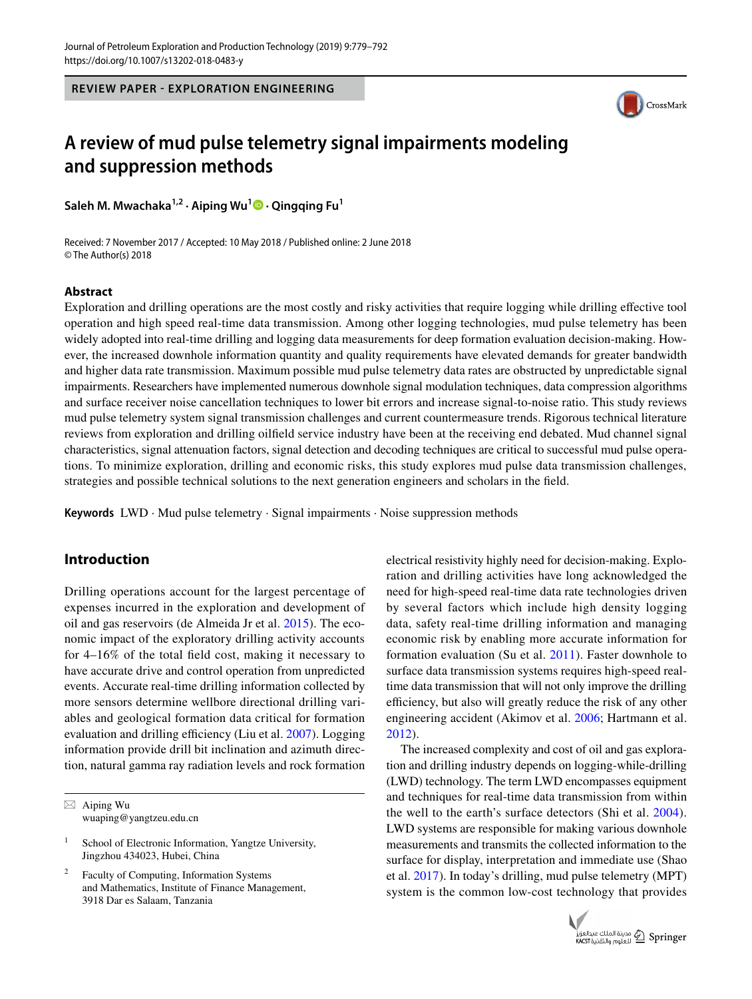**REVIEW PAPER - EXPLORATION ENGINEERING**



# **A review of mud pulse telemetry signal impairments modeling and suppression methods**

**Saleh M. Mwachaka1,2 · Aiping Wu1  [·](http://orcid.org/0000-0002-7575-7521) Qingqing Fu1**

Received: 7 November 2017 / Accepted: 10 May 2018 / Published online: 2 June 2018 © The Author(s) 2018

## **Abstract**

Exploration and drilling operations are the most costly and risky activities that require logging while drilling effective tool operation and high speed real-time data transmission. Among other logging technologies, mud pulse telemetry has been widely adopted into real-time drilling and logging data measurements for deep formation evaluation decision-making. However, the increased downhole information quantity and quality requirements have elevated demands for greater bandwidth and higher data rate transmission. Maximum possible mud pulse telemetry data rates are obstructed by unpredictable signal impairments. Researchers have implemented numerous downhole signal modulation techniques, data compression algorithms and surface receiver noise cancellation techniques to lower bit errors and increase signal-to-noise ratio. This study reviews mud pulse telemetry system signal transmission challenges and current countermeasure trends. Rigorous technical literature reviews from exploration and drilling oilfield service industry have been at the receiving end debated. Mud channel signal characteristics, signal attenuation factors, signal detection and decoding techniques are critical to successful mud pulse operations. To minimize exploration, drilling and economic risks, this study explores mud pulse data transmission challenges, strategies and possible technical solutions to the next generation engineers and scholars in the field.

**Keywords** LWD · Mud pulse telemetry · Signal impairments · Noise suppression methods

# **Introduction**

Drilling operations account for the largest percentage of expenses incurred in the exploration and development of oil and gas reservoirs (de Almeida Jr et al. [2015\)](#page-11-0). The economic impact of the exploratory drilling activity accounts for 4–16% of the total field cost, making it necessary to have accurate drive and control operation from unpredicted events. Accurate real-time drilling information collected by more sensors determine wellbore directional drilling variables and geological formation data critical for formation evaluation and drilling efficiency (Liu et al. [2007\)](#page-12-0). Logging information provide drill bit inclination and azimuth direction, natural gamma ray radiation levels and rock formation

 $\boxtimes$  Aiping Wu wuaping@yangtzeu.edu.cn electrical resistivity highly need for decision-making. Exploration and drilling activities have long acknowledged the need for high-speed real-time data rate technologies driven by several factors which include high density logging data, safety real-time drilling information and managing economic risk by enabling more accurate information for formation evaluation (Su et al. [2011](#page-13-0)). Faster downhole to surface data transmission systems requires high-speed realtime data transmission that will not only improve the drilling efficiency, but also will greatly reduce the risk of any other engineering accident (Akimov et al. [2006](#page-11-1); Hartmann et al. [2012](#page-12-1)).

The increased complexity and cost of oil and gas exploration and drilling industry depends on logging-while-drilling (LWD) technology. The term LWD encompasses equipment and techniques for real-time data transmission from within the well to the earth's surface detectors (Shi et al. [2004](#page-13-1)). LWD systems are responsible for making various downhole measurements and transmits the collected information to the surface for display, interpretation and immediate use (Shao et al. [2017\)](#page-12-2). In today's drilling, mud pulse telemetry (MPT) system is the common low-cost technology that provides



<sup>&</sup>lt;sup>1</sup> School of Electronic Information, Yangtze University, Jingzhou 434023, Hubei, China

Faculty of Computing, Information Systems and Mathematics, Institute of Finance Management, 3918 Dar es Salaam, Tanzania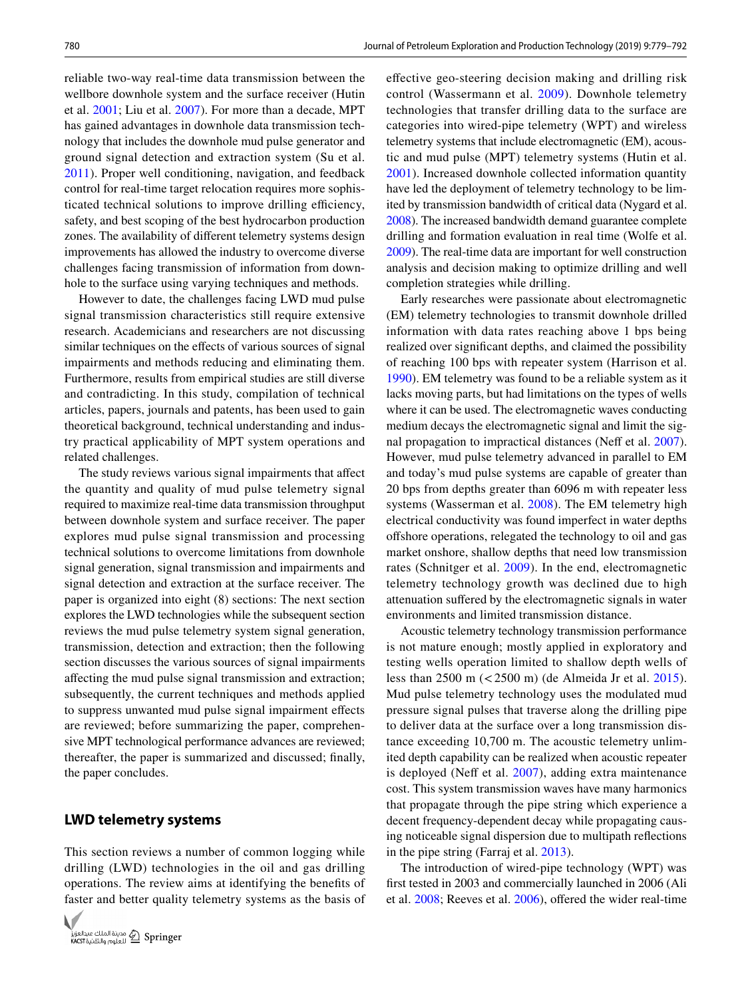reliable two-way real-time data transmission between the wellbore downhole system and the surface receiver (Hutin et al. [2001;](#page-12-3) Liu et al. [2007\)](#page-12-0). For more than a decade, MPT has gained advantages in downhole data transmission technology that includes the downhole mud pulse generator and ground signal detection and extraction system (Su et al. [2011](#page-13-0)). Proper well conditioning, navigation, and feedback control for real-time target relocation requires more sophisticated technical solutions to improve drilling efficiency, safety, and best scoping of the best hydrocarbon production zones. The availability of different telemetry systems design improvements has allowed the industry to overcome diverse challenges facing transmission of information from downhole to the surface using varying techniques and methods.

However to date, the challenges facing LWD mud pulse signal transmission characteristics still require extensive research. Academicians and researchers are not discussing similar techniques on the effects of various sources of signal impairments and methods reducing and eliminating them. Furthermore, results from empirical studies are still diverse and contradicting. In this study, compilation of technical articles, papers, journals and patents, has been used to gain theoretical background, technical understanding and industry practical applicability of MPT system operations and related challenges.

The study reviews various signal impairments that affect the quantity and quality of mud pulse telemetry signal required to maximize real-time data transmission throughput between downhole system and surface receiver. The paper explores mud pulse signal transmission and processing technical solutions to overcome limitations from downhole signal generation, signal transmission and impairments and signal detection and extraction at the surface receiver. The paper is organized into eight (8) sections: The next section explores the LWD technologies while the subsequent section reviews the mud pulse telemetry system signal generation, transmission, detection and extraction; then the following section discusses the various sources of signal impairments affecting the mud pulse signal transmission and extraction; subsequently, the current techniques and methods applied to suppress unwanted mud pulse signal impairment effects are reviewed; before summarizing the paper, comprehensive MPT technological performance advances are reviewed; thereafter, the paper is summarized and discussed; finally, the paper concludes.

## **LWD telemetry systems**

This section reviews a number of common logging while drilling (LWD) technologies in the oil and gas drilling operations. The review aims at identifying the benefits of faster and better quality telemetry systems as the basis of



effective geo-steering decision making and drilling risk control (Wassermann et al. [2009](#page-13-2)). Downhole telemetry technologies that transfer drilling data to the surface are categories into wired-pipe telemetry (WPT) and wireless telemetry systems that include electromagnetic (EM), acoustic and mud pulse (MPT) telemetry systems (Hutin et al. [2001\)](#page-12-3). Increased downhole collected information quantity have led the deployment of telemetry technology to be limited by transmission bandwidth of critical data (Nygard et al. [2008\)](#page-12-4). The increased bandwidth demand guarantee complete drilling and formation evaluation in real time (Wolfe et al. [2009\)](#page-13-3). The real-time data are important for well construction analysis and decision making to optimize drilling and well completion strategies while drilling.

Early researches were passionate about electromagnetic (EM) telemetry technologies to transmit downhole drilled information with data rates reaching above 1 bps being realized over significant depths, and claimed the possibility of reaching 100 bps with repeater system (Harrison et al. [1990](#page-12-5)). EM telemetry was found to be a reliable system as it lacks moving parts, but had limitations on the types of wells where it can be used. The electromagnetic waves conducting medium decays the electromagnetic signal and limit the signal propagation to impractical distances (Neff et al. [2007](#page-12-6)). However, mud pulse telemetry advanced in parallel to EM and today's mud pulse systems are capable of greater than 20 bps from depths greater than 6096 m with repeater less systems (Wasserman et al. [2008\)](#page-13-4). The EM telemetry high electrical conductivity was found imperfect in water depths offshore operations, relegated the technology to oil and gas market onshore, shallow depths that need low transmission rates (Schnitger et al. [2009](#page-12-7)). In the end, electromagnetic telemetry technology growth was declined due to high attenuation suffered by the electromagnetic signals in water environments and limited transmission distance.

Acoustic telemetry technology transmission performance is not mature enough; mostly applied in exploratory and testing wells operation limited to shallow depth wells of less than 2500 m (<2500 m) (de Almeida Jr et al. [2015](#page-11-0)). Mud pulse telemetry technology uses the modulated mud pressure signal pulses that traverse along the drilling pipe to deliver data at the surface over a long transmission distance exceeding 10,700 m. The acoustic telemetry unlimited depth capability can be realized when acoustic repeater is deployed (Neff et al. [2007](#page-12-6)), adding extra maintenance cost. This system transmission waves have many harmonics that propagate through the pipe string which experience a decent frequency-dependent decay while propagating causing noticeable signal dispersion due to multipath reflections in the pipe string (Farraj et al. [2013\)](#page-11-2).

The introduction of wired-pipe technology (WPT) was first tested in 2003 and commercially launched in 2006 (Ali et al. [2008;](#page-11-3) Reeves et al. [2006\)](#page-12-8), offered the wider real-time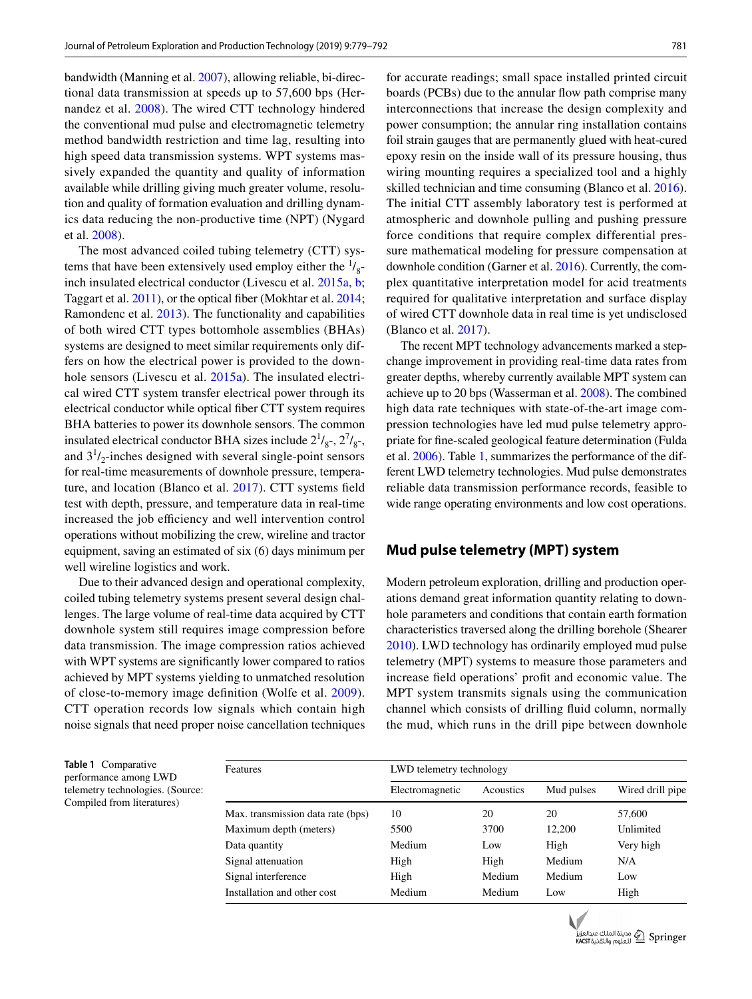bandwidth (Manning et al. [2007\)](#page-12-9), allowing reliable, bi-directional data transmission at speeds up to 57,600 bps (Hernandez et al. [2008](#page-12-10)). The wired CTT technology hindered the conventional mud pulse and electromagnetic telemetry method bandwidth restriction and time lag, resulting into high speed data transmission systems. WPT systems massively expanded the quantity and quality of information available while drilling giving much greater volume, resolution and quality of formation evaluation and drilling dynamics data reducing the non-productive time (NPT) (Nygard et al. [2008](#page-12-4)).

The most advanced coiled tubing telemetry (CTT) systems that have been extensively used employ either the  $\frac{1}{8}$ inch insulated electrical conductor (Livescu et al. [2015a](#page-12-11), [b](#page-12-12); Taggart et al. [2011](#page-13-5)), or the optical fiber (Mokhtar et al. [2014](#page-12-13); Ramondenc et al. [2013](#page-12-14)). The functionality and capabilities of both wired CTT types bottomhole assemblies (BHAs) systems are designed to meet similar requirements only differs on how the electrical power is provided to the down-hole sensors (Livescu et al. [2015a\)](#page-12-11). The insulated electrical wired CTT system transfer electrical power through its electrical conductor while optical fiber CTT system requires BHA batteries to power its downhole sensors. The common insulated electrical conductor BHA sizes include  $2^{1}/_{8}$ -,  $2^{7}/_{8}$ -, and  $3<sup>1</sup>/2$ -inches designed with several single-point sensors for real-time measurements of downhole pressure, temperature, and location (Blanco et al. [2017\)](#page-11-4). CTT systems field test with depth, pressure, and temperature data in real-time increased the job efficiency and well intervention control operations without mobilizing the crew, wireline and tractor equipment, saving an estimated of six (6) days minimum per well wireline logistics and work.

Due to their advanced design and operational complexity, coiled tubing telemetry systems present several design challenges. The large volume of real-time data acquired by CTT downhole system still requires image compression before data transmission. The image compression ratios achieved with WPT systems are significantly lower compared to ratios achieved by MPT systems yielding to unmatched resolution of close-to-memory image definition (Wolfe et al. [2009](#page-13-3)). CTT operation records low signals which contain high noise signals that need proper noise cancellation techniques for accurate readings; small space installed printed circuit boards (PCBs) due to the annular flow path comprise many interconnections that increase the design complexity and power consumption; the annular ring installation contains foil strain gauges that are permanently glued with heat-cured epoxy resin on the inside wall of its pressure housing, thus wiring mounting requires a specialized tool and a highly skilled technician and time consuming (Blanco et al. [2016](#page-11-5)). The initial CTT assembly laboratory test is performed at atmospheric and downhole pulling and pushing pressure force conditions that require complex differential pressure mathematical modeling for pressure compensation at downhole condition (Garner et al. [2016\)](#page-11-6). Currently, the complex quantitative interpretation model for acid treatments required for qualitative interpretation and surface display of wired CTT downhole data in real time is yet undisclosed (Blanco et al. [2017\)](#page-11-4).

The recent MPT technology advancements marked a stepchange improvement in providing real-time data rates from greater depths, whereby currently available MPT system can achieve up to 20 bps (Wasserman et al. [2008\)](#page-13-4). The combined high data rate techniques with state-of-the-art image compression technologies have led mud pulse telemetry appropriate for fine-scaled geological feature determination (Fulda et al. [2006\)](#page-11-7). Table [1](#page-2-0), summarizes the performance of the different LWD telemetry technologies. Mud pulse demonstrates reliable data transmission performance records, feasible to wide range operating environments and low cost operations.

## **Mud pulse telemetry (MPT) system**

Modern petroleum exploration, drilling and production operations demand great information quantity relating to downhole parameters and conditions that contain earth formation characteristics traversed along the drilling borehole (Shearer [2010](#page-12-15)). LWD technology has ordinarily employed mud pulse telemetry (MPT) systems to measure those parameters and increase field operations' profit and economic value. The MPT system transmits signals using the communication channel which consists of drilling fluid column, normally the mud, which runs in the drill pipe between downhole

<span id="page-2-0"></span>**Table 1** Comparative performance among LWD telemetry technologies. (Source: Compiled from literatures)

| Features                          | LWD telemetry technology |           |            |                  |
|-----------------------------------|--------------------------|-----------|------------|------------------|
|                                   | Electromagnetic          | Acoustics | Mud pulses | Wired drill pipe |
| Max. transmission data rate (bps) | 10                       | 20        | 20         | 57,600           |
| Maximum depth (meters)            | 5500                     | 3700      | 12,200     | Unlimited        |
| Data quantity                     | Medium                   | Low       | High       | Very high        |
| Signal attenuation                | High                     | High      | Medium     | N/A              |
| Signal interference               | High                     | Medium    | Medium     | Low              |
| Installation and other cost       | Medium                   | Medium    | Low        | High             |

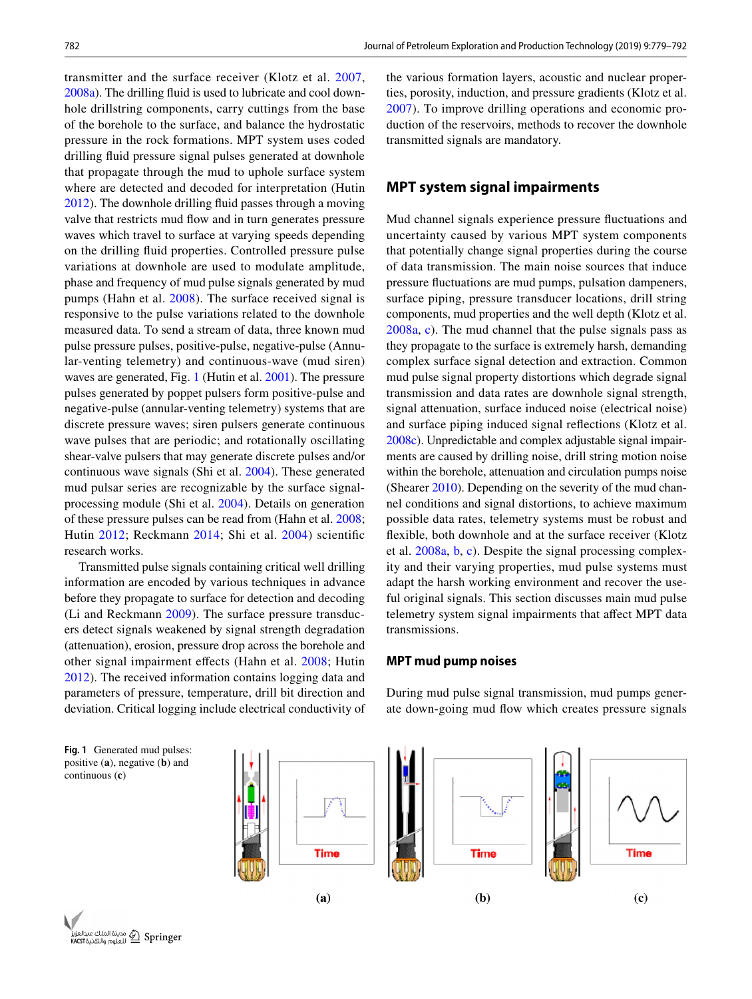transmitter and the surface receiver (Klotz et al. [2007,](#page-12-16) [2008a](#page-12-17)). The drilling fluid is used to lubricate and cool downhole drillstring components, carry cuttings from the base of the borehole to the surface, and balance the hydrostatic pressure in the rock formations. MPT system uses coded drilling fluid pressure signal pulses generated at downhole that propagate through the mud to uphole surface system where are detected and decoded for interpretation (Hutin [2012](#page-12-18)). The downhole drilling fluid passes through a moving valve that restricts mud flow and in turn generates pressure waves which travel to surface at varying speeds depending on the drilling fluid properties. Controlled pressure pulse variations at downhole are used to modulate amplitude, phase and frequency of mud pulse signals generated by mud pumps (Hahn et al. [2008\)](#page-12-19). The surface received signal is responsive to the pulse variations related to the downhole measured data. To send a stream of data, three known mud pulse pressure pulses, positive-pulse, negative-pulse (Annular-venting telemetry) and continuous-wave (mud siren) waves are generated, Fig. [1](#page-3-0) (Hutin et al. [2001\)](#page-12-3). The pressure pulses generated by poppet pulsers form positive-pulse and negative-pulse (annular-venting telemetry) systems that are discrete pressure waves; siren pulsers generate continuous wave pulses that are periodic; and rotationally oscillating shear-valve pulsers that may generate discrete pulses and/or continuous wave signals (Shi et al. [2004\)](#page-13-1). These generated mud pulsar series are recognizable by the surface signalprocessing module (Shi et al. [2004](#page-13-1)). Details on generation of these pressure pulses can be read from (Hahn et al. [2008](#page-12-19); Hutin [2012](#page-12-18); Reckmann [2014](#page-12-20); Shi et al. [2004](#page-13-1)) scientific research works.

Transmitted pulse signals containing critical well drilling information are encoded by various techniques in advance before they propagate to surface for detection and decoding (Li and Reckmann [2009\)](#page-12-21). The surface pressure transducers detect signals weakened by signal strength degradation (attenuation), erosion, pressure drop across the borehole and other signal impairment effects (Hahn et al. [2008](#page-12-19); Hutin [2012](#page-12-18)). The received information contains logging data and parameters of pressure, temperature, drill bit direction and deviation. Critical logging include electrical conductivity of the various formation layers, acoustic and nuclear properties, porosity, induction, and pressure gradients (Klotz et al. [2007\)](#page-12-16). To improve drilling operations and economic production of the reservoirs, methods to recover the downhole transmitted signals are mandatory.

## <span id="page-3-1"></span>**MPT system signal impairments**

Mud channel signals experience pressure fluctuations and uncertainty caused by various MPT system components that potentially change signal properties during the course of data transmission. The main noise sources that induce pressure fluctuations are mud pumps, pulsation dampeners, surface piping, pressure transducer locations, drill string components, mud properties and the well depth (Klotz et al. [2008a](#page-12-17), [c](#page-12-22)). The mud channel that the pulse signals pass as they propagate to the surface is extremely harsh, demanding complex surface signal detection and extraction. Common mud pulse signal property distortions which degrade signal transmission and data rates are downhole signal strength, signal attenuation, surface induced noise (electrical noise) and surface piping induced signal reflections (Klotz et al. [2008c](#page-12-22)). Unpredictable and complex adjustable signal impairments are caused by drilling noise, drill string motion noise within the borehole, attenuation and circulation pumps noise (Shearer [2010](#page-12-15)). Depending on the severity of the mud channel conditions and signal distortions, to achieve maximum possible data rates, telemetry systems must be robust and flexible, both downhole and at the surface receiver (Klotz et al. [2008a,](#page-12-17) [b](#page-12-23), [c](#page-12-22)). Despite the signal processing complexity and their varying properties, mud pulse systems must adapt the harsh working environment and recover the useful original signals. This section discusses main mud pulse telemetry system signal impairments that affect MPT data transmissions.

### <span id="page-3-2"></span>**MPT mud pump noises**

<span id="page-3-0"></span>**Fig. 1** Generated mud pulses: positive (**a**), negative (**b**) and continuous (**c**)

**Time Time** Time

 $(b)$ 

 $(a)$ 



During mud pulse signal transmission, mud pumps generate down-going mud flow which creates pressure signals

 $(c)$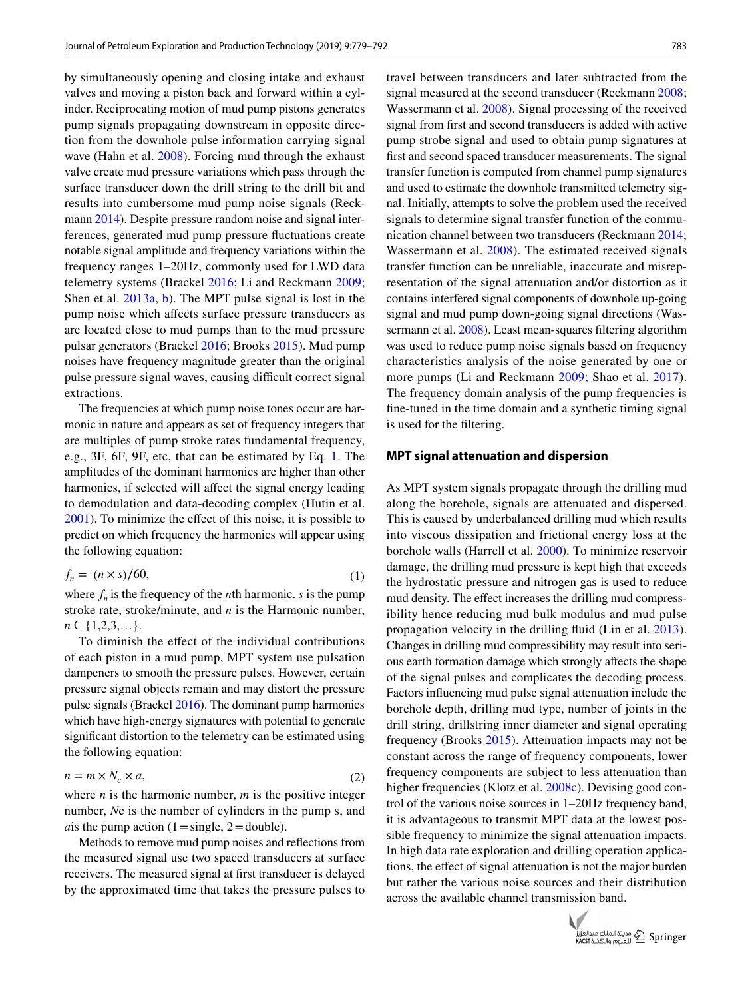by simultaneously opening and closing intake and exhaust valves and moving a piston back and forward within a cylinder. Reciprocating motion of mud pump pistons generates pump signals propagating downstream in opposite direction from the downhole pulse information carrying signal wave (Hahn et al. [2008](#page-12-19)). Forcing mud through the exhaust valve create mud pressure variations which pass through the surface transducer down the drill string to the drill bit and results into cumbersome mud pump noise signals (Reckmann [2014](#page-12-20)). Despite pressure random noise and signal interferences, generated mud pump pressure fluctuations create notable signal amplitude and frequency variations within the frequency ranges 1–20Hz, commonly used for LWD data telemetry systems (Brackel [2016](#page-11-8); Li and Reckmann [2009](#page-12-21); Shen et al. [2013a,](#page-12-24) [b\)](#page-12-25). The MPT pulse signal is lost in the pump noise which affects surface pressure transducers as are located close to mud pumps than to the mud pressure pulsar generators (Brackel [2016;](#page-11-8) Brooks [2015\)](#page-11-9). Mud pump noises have frequency magnitude greater than the original pulse pressure signal waves, causing difficult correct signal extractions.

The frequencies at which pump noise tones occur are harmonic in nature and appears as set of frequency integers that are multiples of pump stroke rates fundamental frequency, e.g., 3F, 6F, 9F, etc, that can be estimated by Eq. [1](#page-4-0). The amplitudes of the dominant harmonics are higher than other harmonics, if selected will affect the signal energy leading to demodulation and data-decoding complex (Hutin et al. [2001](#page-12-3)). To minimize the effect of this noise, it is possible to predict on which frequency the harmonics will appear using the following equation:

$$
f_n = (n \times s) / 60,\tag{1}
$$

where  $f_n$  is the frequency of the *n*th harmonic. *s* is the pump stroke rate, stroke/minute, and *n* is the Harmonic number, *n* ∈ {1,2,3,...}.

To diminish the effect of the individual contributions of each piston in a mud pump, MPT system use pulsation dampeners to smooth the pressure pulses. However, certain pressure signal objects remain and may distort the pressure pulse signals (Brackel [2016\)](#page-11-8). The dominant pump harmonics which have high-energy signatures with potential to generate significant distortion to the telemetry can be estimated using the following equation:

$$
n = m \times N_c \times a,\tag{2}
$$

where *n* is the harmonic number, *m* is the positive integer number, *N*c is the number of cylinders in the pump s, and *a*is the pump action  $(1 = \text{single}, 2 = \text{double})$ .

Methods to remove mud pump noises and reflections from the measured signal use two spaced transducers at surface receivers. The measured signal at first transducer is delayed by the approximated time that takes the pressure pulses to

travel between transducers and later subtracted from the signal measured at the second transducer (Reckmann [2008](#page-12-26); Wassermann et al. [2008](#page-13-6)). Signal processing of the received signal from first and second transducers is added with active pump strobe signal and used to obtain pump signatures at first and second spaced transducer measurements. The signal transfer function is computed from channel pump signatures and used to estimate the downhole transmitted telemetry signal. Initially, attempts to solve the problem used the received signals to determine signal transfer function of the communication channel between two transducers (Reckmann [2014](#page-12-20); Wassermann et al. [2008](#page-13-6)). The estimated received signals transfer function can be unreliable, inaccurate and misrepresentation of the signal attenuation and/or distortion as it contains interfered signal components of downhole up-going signal and mud pump down-going signal directions (Was-sermann et al. [2008](#page-13-6)). Least mean-squares filtering algorithm was used to reduce pump noise signals based on frequency characteristics analysis of the noise generated by one or more pumps (Li and Reckmann [2009](#page-12-21); Shao et al. [2017](#page-12-2)). The frequency domain analysis of the pump frequencies is fine-tuned in the time domain and a synthetic timing signal is used for the filtering.

#### **MPT signal attenuation and dispersion**

<span id="page-4-0"></span>As MPT system signals propagate through the drilling mud along the borehole, signals are attenuated and dispersed. This is caused by underbalanced drilling mud which results into viscous dissipation and frictional energy loss at the borehole walls (Harrell et al. [2000](#page-12-27)). To minimize reservoir damage, the drilling mud pressure is kept high that exceeds the hydrostatic pressure and nitrogen gas is used to reduce mud density. The effect increases the drilling mud compressibility hence reducing mud bulk modulus and mud pulse propagation velocity in the drilling fluid (Lin et al. [2013](#page-12-28)). Changes in drilling mud compressibility may result into serious earth formation damage which strongly affects the shape of the signal pulses and complicates the decoding process. Factors influencing mud pulse signal attenuation include the borehole depth, drilling mud type, number of joints in the drill string, drillstring inner diameter and signal operating frequency (Brooks [2015](#page-11-9)). Attenuation impacts may not be constant across the range of frequency components, lower frequency components are subject to less attenuation than higher frequencies (Klotz et al. [2008c](#page-12-22)). Devising good control of the various noise sources in 1–20Hz frequency band, it is advantageous to transmit MPT data at the lowest possible frequency to minimize the signal attenuation impacts. In high data rate exploration and drilling operation applications, the effect of signal attenuation is not the major burden but rather the various noise sources and their distribution across the available channel transmission band.

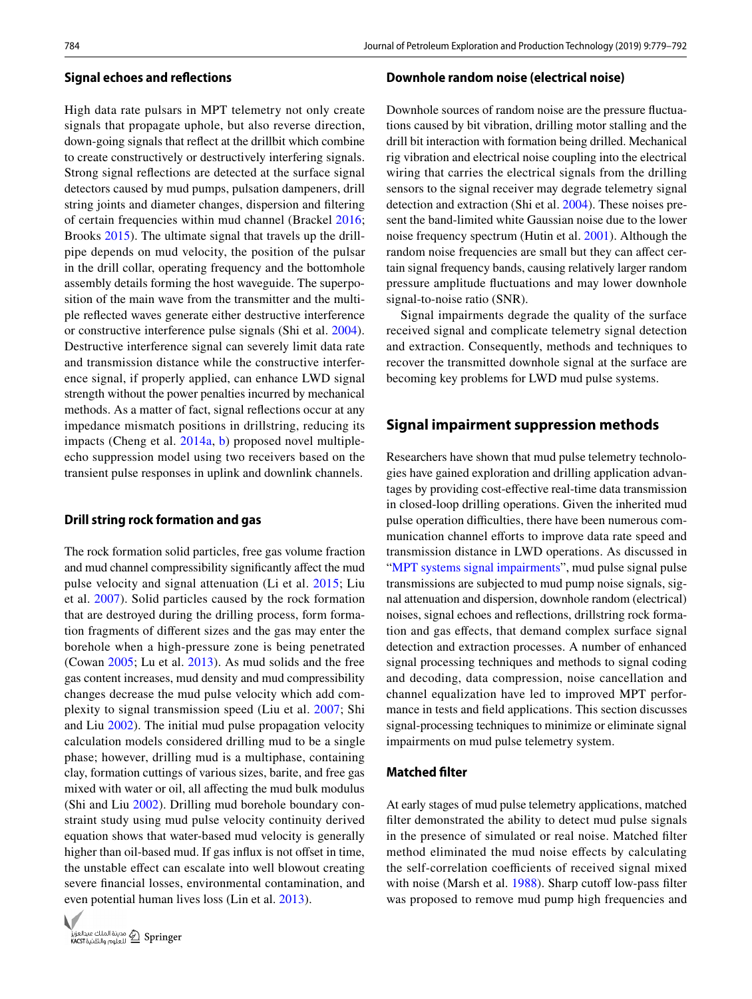#### **Signal echoes and reflections**

High data rate pulsars in MPT telemetry not only create signals that propagate uphole, but also reverse direction, down-going signals that reflect at the drillbit which combine to create constructively or destructively interfering signals. Strong signal reflections are detected at the surface signal detectors caused by mud pumps, pulsation dampeners, drill string joints and diameter changes, dispersion and filtering of certain frequencies within mud channel (Brackel [2016](#page-11-8); Brooks [2015](#page-11-9)). The ultimate signal that travels up the drillpipe depends on mud velocity, the position of the pulsar in the drill collar, operating frequency and the bottomhole assembly details forming the host waveguide. The superposition of the main wave from the transmitter and the multiple reflected waves generate either destructive interference or constructive interference pulse signals (Shi et al. [2004](#page-13-1)). Destructive interference signal can severely limit data rate and transmission distance while the constructive interference signal, if properly applied, can enhance LWD signal strength without the power penalties incurred by mechanical methods. As a matter of fact, signal reflections occur at any impedance mismatch positions in drillstring, reducing its impacts (Cheng et al. [2014a,](#page-11-10) [b\)](#page-11-11) proposed novel multipleecho suppression model using two receivers based on the transient pulse responses in uplink and downlink channels.

#### **Drill string rock formation and gas**

The rock formation solid particles, free gas volume fraction and mud channel compressibility significantly affect the mud pulse velocity and signal attenuation (Li et al. [2015;](#page-12-29) Liu et al. [2007](#page-12-0)). Solid particles caused by the rock formation that are destroyed during the drilling process, form formation fragments of different sizes and the gas may enter the borehole when a high-pressure zone is being penetrated (Cowan [2005](#page-11-12); Lu et al. [2013](#page-12-30)). As mud solids and the free gas content increases, mud density and mud compressibility changes decrease the mud pulse velocity which add complexity to signal transmission speed (Liu et al. [2007](#page-12-0); Shi and Liu [2002\)](#page-13-7). The initial mud pulse propagation velocity calculation models considered drilling mud to be a single phase; however, drilling mud is a multiphase, containing clay, formation cuttings of various sizes, barite, and free gas mixed with water or oil, all affecting the mud bulk modulus (Shi and Liu [2002\)](#page-13-7). Drilling mud borehole boundary constraint study using mud pulse velocity continuity derived equation shows that water-based mud velocity is generally higher than oil-based mud. If gas influx is not offset in time, the unstable effect can escalate into well blowout creating severe financial losses, environmental contamination, and even potential human lives loss (Lin et al. [2013](#page-12-28)).



#### **Downhole random noise (electrical noise)**

Downhole sources of random noise are the pressure fluctuations caused by bit vibration, drilling motor stalling and the drill bit interaction with formation being drilled. Mechanical rig vibration and electrical noise coupling into the electrical wiring that carries the electrical signals from the drilling sensors to the signal receiver may degrade telemetry signal detection and extraction (Shi et al. [2004\)](#page-13-1). These noises present the band-limited white Gaussian noise due to the lower noise frequency spectrum (Hutin et al. [2001\)](#page-12-3). Although the random noise frequencies are small but they can affect certain signal frequency bands, causing relatively larger random pressure amplitude fluctuations and may lower downhole signal-to-noise ratio (SNR).

Signal impairments degrade the quality of the surface received signal and complicate telemetry signal detection and extraction. Consequently, methods and techniques to recover the transmitted downhole signal at the surface are becoming key problems for LWD mud pulse systems.

## **Signal impairment suppression methods**

Researchers have shown that mud pulse telemetry technologies have gained exploration and drilling application advantages by providing cost-effective real-time data transmission in closed-loop drilling operations. Given the inherited mud pulse operation difficulties, there have been numerous communication channel efforts to improve data rate speed and transmission distance in LWD operations. As discussed in "[MPT systems signal impairments](#page-3-1)", mud pulse signal pulse transmissions are subjected to mud pump noise signals, signal attenuation and dispersion, downhole random (electrical) noises, signal echoes and reflections, drillstring rock formation and gas effects, that demand complex surface signal detection and extraction processes. A number of enhanced signal processing techniques and methods to signal coding and decoding, data compression, noise cancellation and channel equalization have led to improved MPT performance in tests and field applications. This section discusses signal-processing techniques to minimize or eliminate signal impairments on mud pulse telemetry system.

## **Matched filter**

At early stages of mud pulse telemetry applications, matched filter demonstrated the ability to detect mud pulse signals in the presence of simulated or real noise. Matched filter method eliminated the mud noise effects by calculating the self-correlation coefficients of received signal mixed with noise (Marsh et al. [1988\)](#page-12-31). Sharp cutoff low-pass filter was proposed to remove mud pump high frequencies and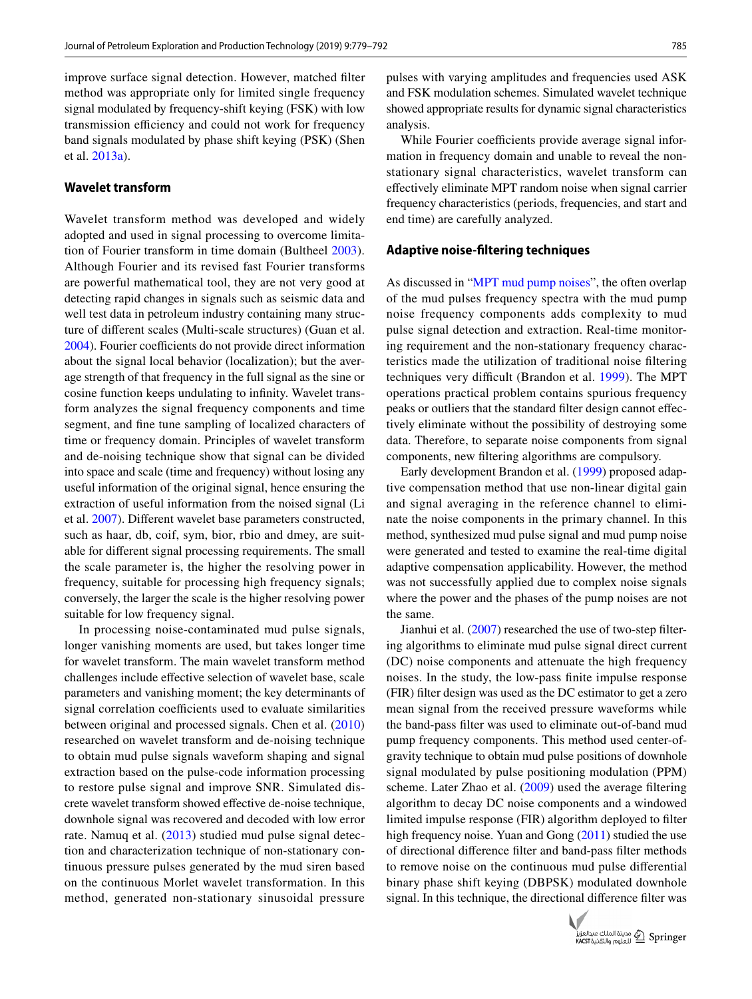improve surface signal detection. However, matched filter method was appropriate only for limited single frequency signal modulated by frequency-shift keying (FSK) with low transmission efficiency and could not work for frequency band signals modulated by phase shift keying (PSK) (Shen et al. [2013a\)](#page-12-24).

## **Wavelet transform**

Wavelet transform method was developed and widely adopted and used in signal processing to overcome limitation of Fourier transform in time domain (Bultheel [2003](#page-11-13)). Although Fourier and its revised fast Fourier transforms are powerful mathematical tool, they are not very good at detecting rapid changes in signals such as seismic data and well test data in petroleum industry containing many structure of different scales (Multi-scale structures) (Guan et al. [2004\)](#page-12-32). Fourier coefficients do not provide direct information about the signal local behavior (localization); but the average strength of that frequency in the full signal as the sine or cosine function keeps undulating to infinity. Wavelet transform analyzes the signal frequency components and time segment, and fine tune sampling of localized characters of time or frequency domain. Principles of wavelet transform and de-noising technique show that signal can be divided into space and scale (time and frequency) without losing any useful information of the original signal, hence ensuring the extraction of useful information from the noised signal (Li et al. [2007](#page-12-33)). Different wavelet base parameters constructed, such as haar, db, coif, sym, bior, rbio and dmey, are suitable for different signal processing requirements. The small the scale parameter is, the higher the resolving power in frequency, suitable for processing high frequency signals; conversely, the larger the scale is the higher resolving power suitable for low frequency signal.

In processing noise-contaminated mud pulse signals, longer vanishing moments are used, but takes longer time for wavelet transform. The main wavelet transform method challenges include effective selection of wavelet base, scale parameters and vanishing moment; the key determinants of signal correlation coefficients used to evaluate similarities between original and processed signals. Chen et al. ([2010\)](#page-11-14) researched on wavelet transform and de-noising technique to obtain mud pulse signals waveform shaping and signal extraction based on the pulse-code information processing to restore pulse signal and improve SNR. Simulated discrete wavelet transform showed effective de-noise technique, downhole signal was recovered and decoded with low error rate. Namuq et al. ([2013](#page-12-34)) studied mud pulse signal detection and characterization technique of non-stationary continuous pressure pulses generated by the mud siren based on the continuous Morlet wavelet transformation. In this method, generated non-stationary sinusoidal pressure

pulses with varying amplitudes and frequencies used ASK and FSK modulation schemes. Simulated wavelet technique showed appropriate results for dynamic signal characteristics analysis.

While Fourier coefficients provide average signal information in frequency domain and unable to reveal the nonstationary signal characteristics, wavelet transform can effectively eliminate MPT random noise when signal carrier frequency characteristics (periods, frequencies, and start and end time) are carefully analyzed.

#### **Adaptive noise‑filtering techniques**

As discussed in "[MPT mud pump noises"](#page-3-2), the often overlap of the mud pulses frequency spectra with the mud pump noise frequency components adds complexity to mud pulse signal detection and extraction. Real-time monitoring requirement and the non-stationary frequency characteristics made the utilization of traditional noise filtering techniques very difficult (Brandon et al. [1999](#page-11-15)). The MPT operations practical problem contains spurious frequency peaks or outliers that the standard filter design cannot effectively eliminate without the possibility of destroying some data. Therefore, to separate noise components from signal components, new filtering algorithms are compulsory.

Early development Brandon et al. ([1999](#page-11-15)) proposed adaptive compensation method that use non-linear digital gain and signal averaging in the reference channel to eliminate the noise components in the primary channel. In this method, synthesized mud pulse signal and mud pump noise were generated and tested to examine the real-time digital adaptive compensation applicability. However, the method was not successfully applied due to complex noise signals where the power and the phases of the pump noises are not the same.

Jianhui et al. ([2007\)](#page-12-35) researched the use of two-step filtering algorithms to eliminate mud pulse signal direct current (DC) noise components and attenuate the high frequency noises. In the study, the low-pass finite impulse response (FIR) filter design was used as the DC estimator to get a zero mean signal from the received pressure waveforms while the band-pass filter was used to eliminate out-of-band mud pump frequency components. This method used center-ofgravity technique to obtain mud pulse positions of downhole signal modulated by pulse positioning modulation (PPM) scheme. Later Zhao et al. [\(2009\)](#page-13-8) used the average filtering algorithm to decay DC noise components and a windowed limited impulse response (FIR) algorithm deployed to filter high frequency noise. Yuan and Gong [\(2011](#page-13-9)) studied the use of directional difference filter and band-pass filter methods to remove noise on the continuous mud pulse differential binary phase shift keying (DBPSK) modulated downhole signal. In this technique, the directional difference filter was

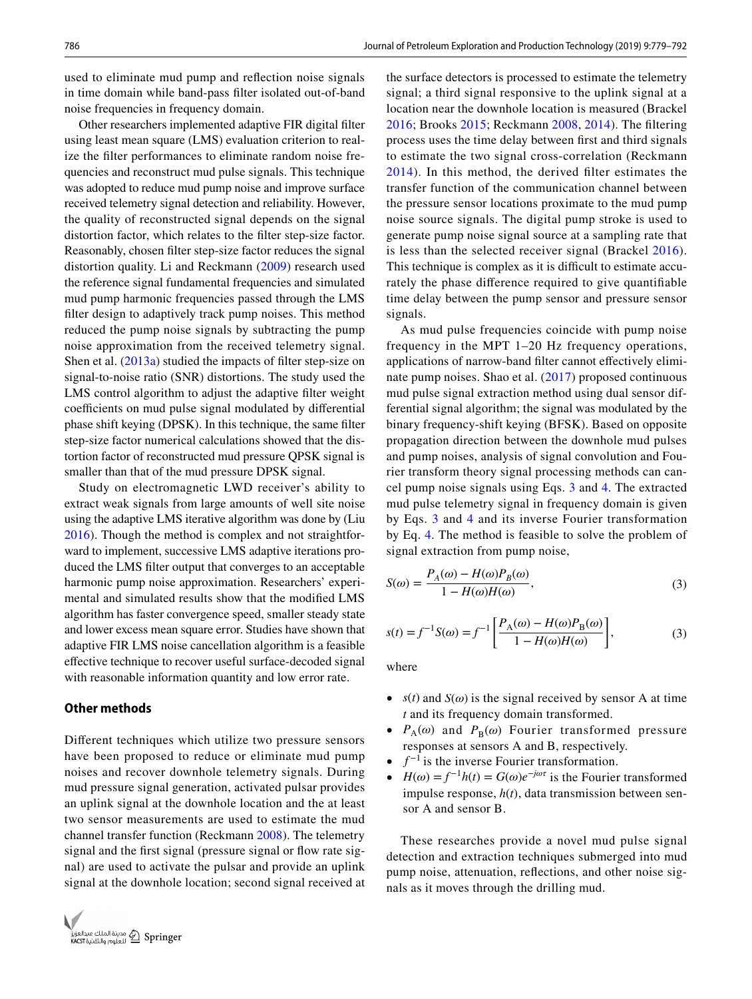used to eliminate mud pump and reflection noise signals in time domain while band-pass filter isolated out-of-band noise frequencies in frequency domain.

Other researchers implemented adaptive FIR digital filter using least mean square (LMS) evaluation criterion to realize the filter performances to eliminate random noise frequencies and reconstruct mud pulse signals. This technique was adopted to reduce mud pump noise and improve surface received telemetry signal detection and reliability. However, the quality of reconstructed signal depends on the signal distortion factor, which relates to the filter step-size factor. Reasonably, chosen filter step-size factor reduces the signal distortion quality. Li and Reckmann ([2009](#page-12-21)) research used the reference signal fundamental frequencies and simulated mud pump harmonic frequencies passed through the LMS filter design to adaptively track pump noises. This method reduced the pump noise signals by subtracting the pump noise approximation from the received telemetry signal. Shen et al.  $(2013a)$  $(2013a)$  $(2013a)$  studied the impacts of filter step-size on signal-to-noise ratio (SNR) distortions. The study used the LMS control algorithm to adjust the adaptive filter weight coefficients on mud pulse signal modulated by differential phase shift keying (DPSK). In this technique, the same filter step-size factor numerical calculations showed that the distortion factor of reconstructed mud pressure QPSK signal is smaller than that of the mud pressure DPSK signal.

Study on electromagnetic LWD receiver's ability to extract weak signals from large amounts of well site noise using the adaptive LMS iterative algorithm was done by (Liu [2016](#page-12-36)). Though the method is complex and not straightforward to implement, successive LMS adaptive iterations produced the LMS filter output that converges to an acceptable harmonic pump noise approximation. Researchers' experimental and simulated results show that the modified LMS algorithm has faster convergence speed, smaller steady state and lower excess mean square error. Studies have shown that adaptive FIR LMS noise cancellation algorithm is a feasible effective technique to recover useful surface-decoded signal with reasonable information quantity and low error rate.

## **Other methods**

Different techniques which utilize two pressure sensors have been proposed to reduce or eliminate mud pump noises and recover downhole telemetry signals. During mud pressure signal generation, activated pulsar provides an uplink signal at the downhole location and the at least two sensor measurements are used to estimate the mud channel transfer function (Reckmann [2008\)](#page-12-26). The telemetry signal and the first signal (pressure signal or flow rate signal) are used to activate the pulsar and provide an uplink signal at the downhole location; second signal received at



the surface detectors is processed to estimate the telemetry signal; a third signal responsive to the uplink signal at a location near the downhole location is measured (Brackel [2016;](#page-11-8) Brooks [2015](#page-11-9); Reckmann [2008](#page-12-26), [2014\)](#page-12-20). The filtering process uses the time delay between first and third signals to estimate the two signal cross-correlation (Reckmann [2014\)](#page-12-20). In this method, the derived filter estimates the transfer function of the communication channel between the pressure sensor locations proximate to the mud pump noise source signals. The digital pump stroke is used to generate pump noise signal source at a sampling rate that is less than the selected receiver signal (Brackel [2016](#page-11-8)). This technique is complex as it is difficult to estimate accurately the phase difference required to give quantifiable time delay between the pump sensor and pressure sensor signals.

As mud pulse frequencies coincide with pump noise frequency in the MPT 1–20 Hz frequency operations, applications of narrow-band filter cannot effectively eliminate pump noises. Shao et al. ([2017\)](#page-12-2) proposed continuous mud pulse signal extraction method using dual sensor differential signal algorithm; the signal was modulated by the binary frequency-shift keying (BFSK). Based on opposite propagation direction between the downhole mud pulses and pump noises, analysis of signal convolution and Fourier transform theory signal processing methods can cancel pump noise signals using Eqs. [3](#page-7-0) and [4.](#page-7-0) The extracted mud pulse telemetry signal in frequency domain is given by Eqs. [3](#page-7-0) and [4](#page-7-0) and its inverse Fourier transformation by Eq. [4.](#page-7-0) The method is feasible to solve the problem of signal extraction from pump noise,

$$
S(\omega) = \frac{P_A(\omega) - H(\omega)P_B(\omega)}{1 - H(\omega)H(\omega)},
$$
\n(3)

<span id="page-7-0"></span>
$$
s(t) = f^{-1}S(\omega) = f^{-1} \left[ \frac{P_{A}(\omega) - H(\omega)P_{B}(\omega)}{1 - H(\omega)H(\omega)} \right],
$$
 (3)

where

- $s(t)$  and  $S(\omega)$  is the signal received by sensor A at time *t* and its frequency domain transformed.
- $P_A(\omega)$  and  $P_B(\omega)$  Fourier transformed pressure responses at sensors A and B, respectively.
- $f^{-1}$  is the inverse Fourier transformation.
- $H(\omega) = f^{-1}h(t) = G(\omega)e^{-j\omega\tau}$  is the Fourier transformed impulse response, *h*(*t*), data transmission between sensor A and sensor B.

These researches provide a novel mud pulse signal detection and extraction techniques submerged into mud pump noise, attenuation, reflections, and other noise signals as it moves through the drilling mud.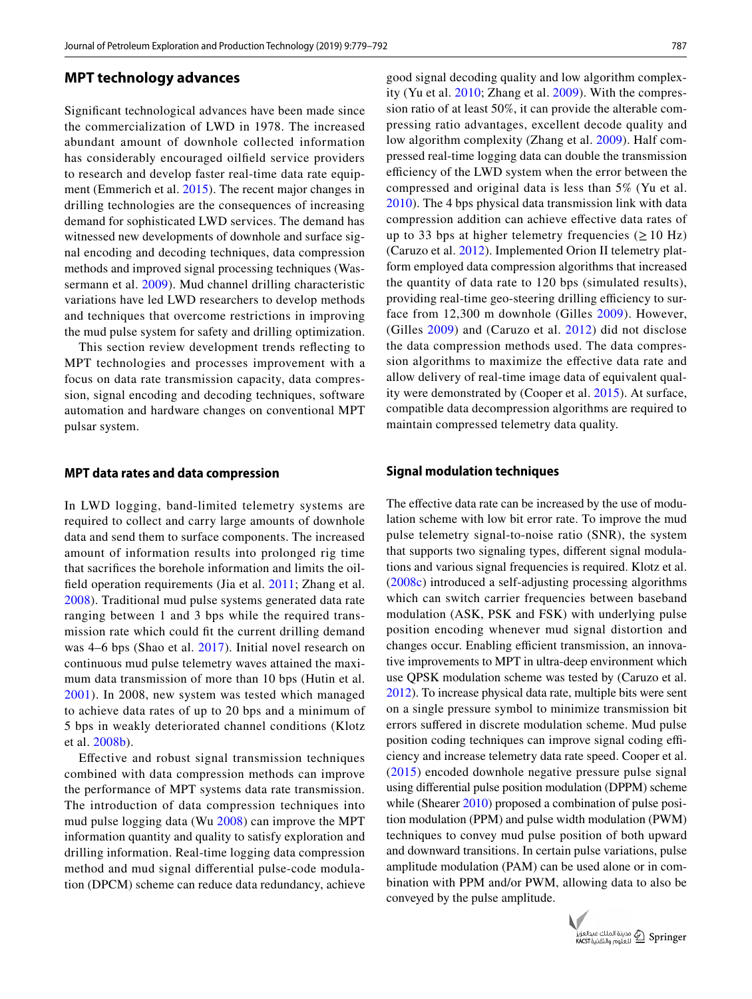### **MPT technology advances**

Significant technological advances have been made since the commercialization of LWD in 1978. The increased abundant amount of downhole collected information has considerably encouraged oilfield service providers to research and develop faster real-time data rate equipment (Emmerich et al. [2015](#page-11-16)). The recent major changes in drilling technologies are the consequences of increasing demand for sophisticated LWD services. The demand has witnessed new developments of downhole and surface signal encoding and decoding techniques, data compression methods and improved signal processing techniques (Wassermann et al. [2009](#page-13-2)). Mud channel drilling characteristic variations have led LWD researchers to develop methods and techniques that overcome restrictions in improving the mud pulse system for safety and drilling optimization.

This section review development trends reflecting to MPT technologies and processes improvement with a focus on data rate transmission capacity, data compression, signal encoding and decoding techniques, software automation and hardware changes on conventional MPT pulsar system.

#### **MPT data rates and data compression**

In LWD logging, band-limited telemetry systems are required to collect and carry large amounts of downhole data and send them to surface components. The increased amount of information results into prolonged rig time that sacrifices the borehole information and limits the oilfield operation requirements (Jia et al. [2011;](#page-12-37) Zhang et al. [2008\)](#page-13-10). Traditional mud pulse systems generated data rate ranging between 1 and 3 bps while the required transmission rate which could fit the current drilling demand was 4–6 bps (Shao et al. [2017\)](#page-12-2). Initial novel research on continuous mud pulse telemetry waves attained the maximum data transmission of more than 10 bps (Hutin et al. [2001](#page-12-3)). In 2008, new system was tested which managed to achieve data rates of up to 20 bps and a minimum of 5 bps in weakly deteriorated channel conditions (Klotz et al. [2008b\)](#page-12-23).

Effective and robust signal transmission techniques combined with data compression methods can improve the performance of MPT systems data rate transmission. The introduction of data compression techniques into mud pulse logging data (Wu [2008\)](#page-13-11) can improve the MPT information quantity and quality to satisfy exploration and drilling information. Real-time logging data compression method and mud signal differential pulse-code modulation (DPCM) scheme can reduce data redundancy, achieve good signal decoding quality and low algorithm complexity (Yu et al. [2010](#page-13-12); Zhang et al. [2009\)](#page-13-13). With the compression ratio of at least 50%, it can provide the alterable compressing ratio advantages, excellent decode quality and low algorithm complexity (Zhang et al. [2009](#page-13-13)). Half compressed real-time logging data can double the transmission efficiency of the LWD system when the error between the compressed and original data is less than 5% (Yu et al. [2010\)](#page-13-12). The 4 bps physical data transmission link with data compression addition can achieve effective data rates of up to 33 bps at higher telemetry frequencies ( $\geq$  10 Hz) (Caruzo et al. [2012](#page-11-17)). Implemented Orion II telemetry platform employed data compression algorithms that increased the quantity of data rate to 120 bps (simulated results), providing real-time geo-steering drilling efficiency to surface from 12,300 m downhole (Gilles [2009](#page-12-38)). However, (Gilles [2009\)](#page-12-38) and (Caruzo et al. [2012](#page-11-17)) did not disclose the data compression methods used. The data compression algorithms to maximize the effective data rate and allow delivery of real-time image data of equivalent quality were demonstrated by (Cooper et al. [2015](#page-11-18)). At surface, compatible data decompression algorithms are required to maintain compressed telemetry data quality.

#### **Signal modulation techniques**

The effective data rate can be increased by the use of modulation scheme with low bit error rate. To improve the mud pulse telemetry signal-to-noise ratio (SNR), the system that supports two signaling types, different signal modulations and various signal frequencies is required. Klotz et al. ([2008c\)](#page-12-22) introduced a self-adjusting processing algorithms which can switch carrier frequencies between baseband modulation (ASK, PSK and FSK) with underlying pulse position encoding whenever mud signal distortion and changes occur. Enabling efficient transmission, an innovative improvements to MPT in ultra-deep environment which use QPSK modulation scheme was tested by (Caruzo et al. [2012](#page-11-17)). To increase physical data rate, multiple bits were sent on a single pressure symbol to minimize transmission bit errors suffered in discrete modulation scheme. Mud pulse position coding techniques can improve signal coding efficiency and increase telemetry data rate speed. Cooper et al. ([2015](#page-11-18)) encoded downhole negative pressure pulse signal using differential pulse position modulation (DPPM) scheme while (Shearer [2010\)](#page-12-15) proposed a combination of pulse position modulation (PPM) and pulse width modulation (PWM) techniques to convey mud pulse position of both upward and downward transitions. In certain pulse variations, pulse amplitude modulation (PAM) can be used alone or in combination with PPM and/or PWM, allowing data to also be conveyed by the pulse amplitude.

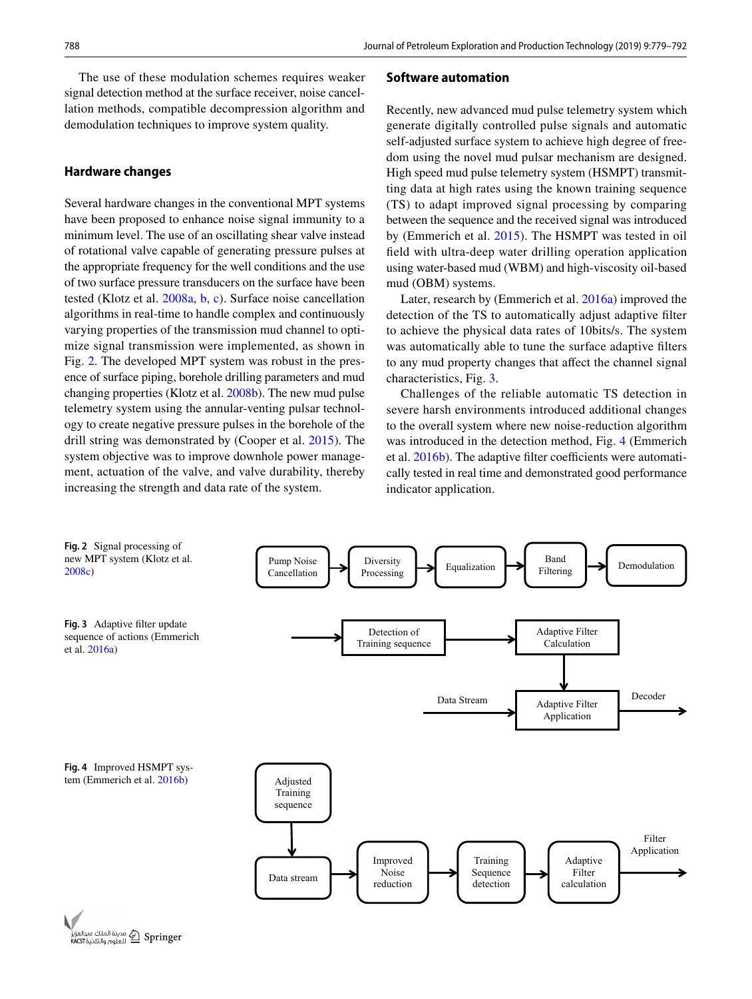The use of these modulation schemes requires weaker signal detection method at the surface receiver, noise cancellation methods, compatible decompression algorithm and demodulation techniques to improve system quality.

#### **Hardware changes**

Several hardware changes in the conventional MPT systems have been proposed to enhance noise signal immunity to a minimum level. The use of an oscillating shear valve instead of rotational valve capable of generating pressure pulses at the appropriate frequency for the well conditions and the use of two surface pressure transducers on the surface have been tested (Klotz et al. [2008a](#page-12-17), [b,](#page-12-23) [c\)](#page-12-22). Surface noise cancellation algorithms in real-time to handle complex and continuously varying properties of the transmission mud channel to optimize signal transmission were implemented, as shown in Fig. [2.](#page-9-0) The developed MPT system was robust in the presence of surface piping, borehole drilling parameters and mud changing properties (Klotz et al. [2008b](#page-12-23)). The new mud pulse telemetry system using the annular-venting pulsar technology to create negative pressure pulses in the borehole of the drill string was demonstrated by (Cooper et al. [2015\)](#page-11-18). The system objective was to improve downhole power management, actuation of the valve, and valve durability, thereby increasing the strength and data rate of the system.

#### **Software automation**

Recently, new advanced mud pulse telemetry system which generate digitally controlled pulse signals and automatic self-adjusted surface system to achieve high degree of freedom using the novel mud pulsar mechanism are designed. High speed mud pulse telemetry system (HSMPT) transmitting data at high rates using the known training sequence (TS) to adapt improved signal processing by comparing between the sequence and the received signal was introduced by (Emmerich et al. [2015](#page-11-16)). The HSMPT was tested in oil field with ultra-deep water drilling operation application using water-based mud (WBM) and high-viscosity oil-based mud (OBM) systems.

Later, research by (Emmerich et al. [2016a\)](#page-11-19) improved the detection of the TS to automatically adjust adaptive filter to achieve the physical data rates of 10bits/s. The system was automatically able to tune the surface adaptive filters to any mud property changes that affect the channel signal characteristics, Fig. [3](#page-9-1).

Challenges of the reliable automatic TS detection in severe harsh environments introduced additional changes to the overall system where new noise-reduction algorithm was introduced in the detection method, Fig. [4](#page-9-2) (Emmerich et al. [2016b\)](#page-11-20). The adaptive filter coefficients were automatically tested in real time and demonstrated good performance indicator application.

<span id="page-9-1"></span><span id="page-9-0"></span>

<span id="page-9-2"></span>مدينة الملك عبدالعزيز Springer<br>KACST اللغلوم والتقنية KACST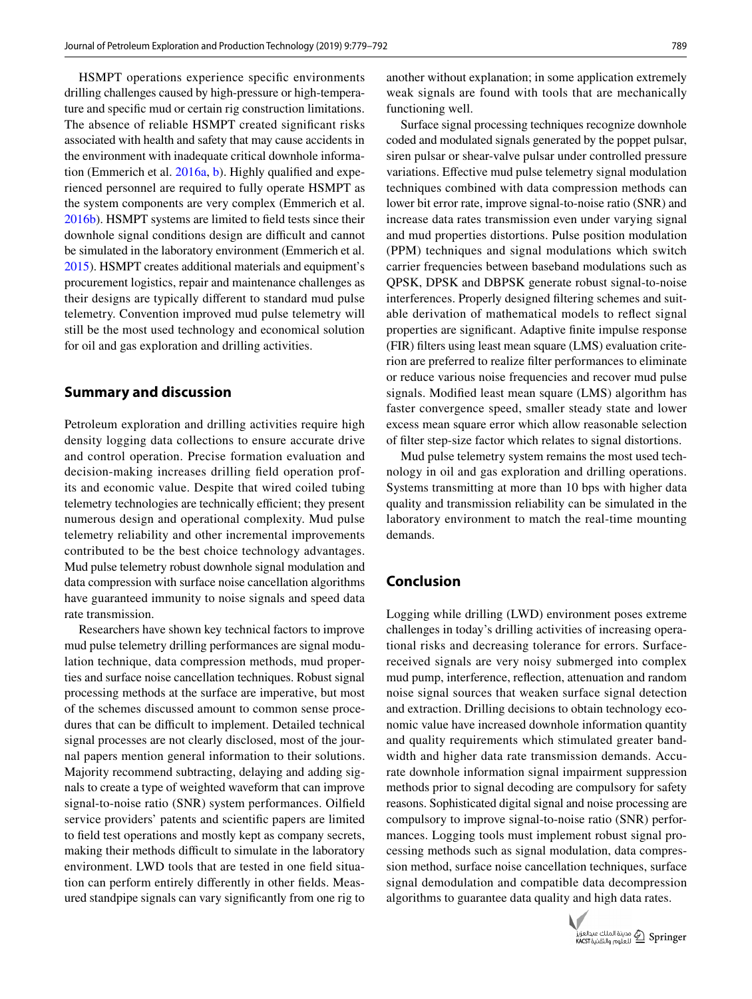HSMPT operations experience specific environments drilling challenges caused by high-pressure or high-temperature and specific mud or certain rig construction limitations. The absence of reliable HSMPT created significant risks associated with health and safety that may cause accidents in the environment with inadequate critical downhole information (Emmerich et al. [2016a,](#page-11-19) [b\)](#page-11-20). Highly qualified and experienced personnel are required to fully operate HSMPT as the system components are very complex (Emmerich et al. [2016b\)](#page-11-20). HSMPT systems are limited to field tests since their downhole signal conditions design are difficult and cannot be simulated in the laboratory environment (Emmerich et al. [2015\)](#page-11-16). HSMPT creates additional materials and equipment's procurement logistics, repair and maintenance challenges as their designs are typically different to standard mud pulse telemetry. Convention improved mud pulse telemetry will still be the most used technology and economical solution for oil and gas exploration and drilling activities.

## **Summary and discussion**

Petroleum exploration and drilling activities require high density logging data collections to ensure accurate drive and control operation. Precise formation evaluation and decision-making increases drilling field operation profits and economic value. Despite that wired coiled tubing telemetry technologies are technically efficient; they present numerous design and operational complexity. Mud pulse telemetry reliability and other incremental improvements contributed to be the best choice technology advantages. Mud pulse telemetry robust downhole signal modulation and data compression with surface noise cancellation algorithms have guaranteed immunity to noise signals and speed data rate transmission.

Researchers have shown key technical factors to improve mud pulse telemetry drilling performances are signal modulation technique, data compression methods, mud properties and surface noise cancellation techniques. Robust signal processing methods at the surface are imperative, but most of the schemes discussed amount to common sense procedures that can be difficult to implement. Detailed technical signal processes are not clearly disclosed, most of the journal papers mention general information to their solutions. Majority recommend subtracting, delaying and adding signals to create a type of weighted waveform that can improve signal-to-noise ratio (SNR) system performances. Oilfield service providers' patents and scientific papers are limited to field test operations and mostly kept as company secrets, making their methods difficult to simulate in the laboratory environment. LWD tools that are tested in one field situation can perform entirely differently in other fields. Measured standpipe signals can vary significantly from one rig to another without explanation; in some application extremely weak signals are found with tools that are mechanically functioning well.

Surface signal processing techniques recognize downhole coded and modulated signals generated by the poppet pulsar, siren pulsar or shear-valve pulsar under controlled pressure variations. Effective mud pulse telemetry signal modulation techniques combined with data compression methods can lower bit error rate, improve signal-to-noise ratio (SNR) and increase data rates transmission even under varying signal and mud properties distortions. Pulse position modulation (PPM) techniques and signal modulations which switch carrier frequencies between baseband modulations such as QPSK, DPSK and DBPSK generate robust signal-to-noise interferences. Properly designed filtering schemes and suitable derivation of mathematical models to reflect signal properties are significant. Adaptive finite impulse response (FIR) filters using least mean square (LMS) evaluation criterion are preferred to realize filter performances to eliminate or reduce various noise frequencies and recover mud pulse signals. Modified least mean square (LMS) algorithm has faster convergence speed, smaller steady state and lower excess mean square error which allow reasonable selection of filter step-size factor which relates to signal distortions.

Mud pulse telemetry system remains the most used technology in oil and gas exploration and drilling operations. Systems transmitting at more than 10 bps with higher data quality and transmission reliability can be simulated in the laboratory environment to match the real-time mounting demands.

## **Conclusion**

Logging while drilling (LWD) environment poses extreme challenges in today's drilling activities of increasing operational risks and decreasing tolerance for errors. Surfacereceived signals are very noisy submerged into complex mud pump, interference, reflection, attenuation and random noise signal sources that weaken surface signal detection and extraction. Drilling decisions to obtain technology economic value have increased downhole information quantity and quality requirements which stimulated greater bandwidth and higher data rate transmission demands. Accurate downhole information signal impairment suppression methods prior to signal decoding are compulsory for safety reasons. Sophisticated digital signal and noise processing are compulsory to improve signal-to-noise ratio (SNR) performances. Logging tools must implement robust signal processing methods such as signal modulation, data compression method, surface noise cancellation techniques, surface signal demodulation and compatible data decompression algorithms to guarantee data quality and high data rates.

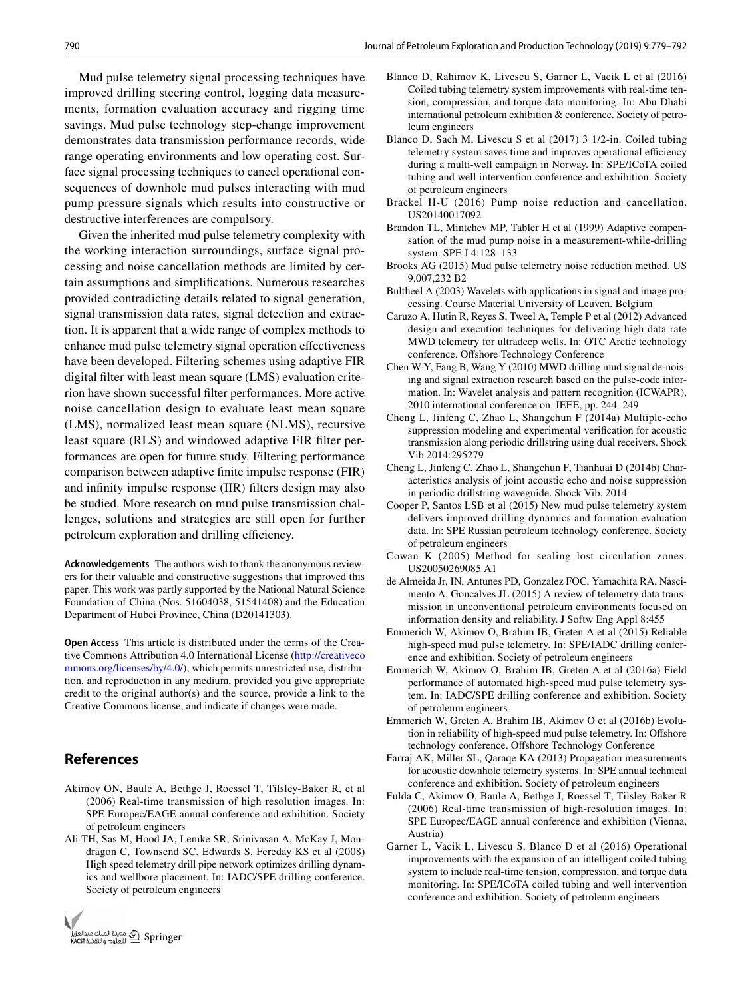Mud pulse telemetry signal processing techniques have improved drilling steering control, logging data measurements, formation evaluation accuracy and rigging time savings. Mud pulse technology step-change improvement demonstrates data transmission performance records, wide range operating environments and low operating cost. Surface signal processing techniques to cancel operational consequences of downhole mud pulses interacting with mud pump pressure signals which results into constructive or destructive interferences are compulsory.

Given the inherited mud pulse telemetry complexity with the working interaction surroundings, surface signal processing and noise cancellation methods are limited by certain assumptions and simplifications. Numerous researches provided contradicting details related to signal generation, signal transmission data rates, signal detection and extraction. It is apparent that a wide range of complex methods to enhance mud pulse telemetry signal operation effectiveness have been developed. Filtering schemes using adaptive FIR digital filter with least mean square (LMS) evaluation criterion have shown successful filter performances. More active noise cancellation design to evaluate least mean square (LMS), normalized least mean square (NLMS), recursive least square (RLS) and windowed adaptive FIR filter performances are open for future study. Filtering performance comparison between adaptive finite impulse response (FIR) and infinity impulse response (IIR) filters design may also be studied. More research on mud pulse transmission challenges, solutions and strategies are still open for further petroleum exploration and drilling efficiency.

**Acknowledgements** The authors wish to thank the anonymous reviewers for their valuable and constructive suggestions that improved this paper. This work was partly supported by the National Natural Science Foundation of China (Nos. 51604038, 51541408) and the Education Department of Hubei Province, China (D20141303).

**Open Access** This article is distributed under the terms of the Creative Commons Attribution 4.0 International License [\(http://creativeco](http://creativecommons.org/licenses/by/4.0/) [mmons.org/licenses/by/4.0/](http://creativecommons.org/licenses/by/4.0/)), which permits unrestricted use, distribution, and reproduction in any medium, provided you give appropriate credit to the original author(s) and the source, provide a link to the Creative Commons license, and indicate if changes were made.

## **References**

- <span id="page-11-1"></span>Akimov ON, Baule A, Bethge J, Roessel T, Tilsley-Baker R, et al (2006) Real-time transmission of high resolution images. In: SPE Europec/EAGE annual conference and exhibition. Society of petroleum engineers
- <span id="page-11-3"></span>Ali TH, Sas M, Hood JA, Lemke SR, Srinivasan A, McKay J, Mondragon C, Townsend SC, Edwards S, Fereday KS et al (2008) High speed telemetry drill pipe network optimizes drilling dynamics and wellbore placement. In: IADC/SPE drilling conference. Society of petroleum engineers



- <span id="page-11-5"></span>Blanco D, Rahimov K, Livescu S, Garner L, Vacik L et al (2016) Coiled tubing telemetry system improvements with real-time tension, compression, and torque data monitoring. In: Abu Dhabi international petroleum exhibition & conference. Society of petroleum engineers
- <span id="page-11-4"></span>Blanco D, Sach M, Livescu S et al (2017) 3 1/2-in. Coiled tubing telemetry system saves time and improves operational efficiency during a multi-well campaign in Norway. In: SPE/ICoTA coiled tubing and well intervention conference and exhibition. Society of petroleum engineers
- <span id="page-11-8"></span>Brackel H-U (2016) Pump noise reduction and cancellation. US20140017092
- <span id="page-11-15"></span>Brandon TL, Mintchev MP, Tabler H et al (1999) Adaptive compensation of the mud pump noise in a measurement-while-drilling system. SPE J 4:128–133
- <span id="page-11-9"></span>Brooks AG (2015) Mud pulse telemetry noise reduction method. US 9,007,232 B2
- <span id="page-11-13"></span>Bultheel A (2003) Wavelets with applications in signal and image processing. Course Material University of Leuven, Belgium
- <span id="page-11-17"></span>Caruzo A, Hutin R, Reyes S, Tweel A, Temple P et al (2012) Advanced design and execution techniques for delivering high data rate MWD telemetry for ultradeep wells. In: OTC Arctic technology conference. Offshore Technology Conference
- <span id="page-11-14"></span>Chen W-Y, Fang B, Wang Y (2010) MWD drilling mud signal de-noising and signal extraction research based on the pulse-code information. In: Wavelet analysis and pattern recognition (ICWAPR), 2010 international conference on. IEEE, pp. 244–249
- <span id="page-11-10"></span>Cheng L, Jinfeng C, Zhao L, Shangchun F (2014a) Multiple-echo suppression modeling and experimental verification for acoustic transmission along periodic drillstring using dual receivers. Shock Vib 2014:295279
- <span id="page-11-11"></span>Cheng L, Jinfeng C, Zhao L, Shangchun F, Tianhuai D (2014b) Characteristics analysis of joint acoustic echo and noise suppression in periodic drillstring waveguide. Shock Vib. 2014
- <span id="page-11-18"></span>Cooper P, Santos LSB et al (2015) New mud pulse telemetry system delivers improved drilling dynamics and formation evaluation data. In: SPE Russian petroleum technology conference. Society of petroleum engineers
- <span id="page-11-12"></span>Cowan K (2005) Method for sealing lost circulation zones. US20050269085 A1
- <span id="page-11-0"></span>de Almeida Jr, IN, Antunes PD, Gonzalez FOC, Yamachita RA, Nascimento A, Goncalves JL (2015) A review of telemetry data transmission in unconventional petroleum environments focused on information density and reliability. J Softw Eng Appl 8:455
- <span id="page-11-16"></span>Emmerich W, Akimov O, Brahim IB, Greten A et al (2015) Reliable high-speed mud pulse telemetry. In: SPE/IADC drilling conference and exhibition. Society of petroleum engineers
- <span id="page-11-19"></span>Emmerich W, Akimov O, Brahim IB, Greten A et al (2016a) Field performance of automated high-speed mud pulse telemetry system. In: IADC/SPE drilling conference and exhibition. Society of petroleum engineers
- <span id="page-11-20"></span>Emmerich W, Greten A, Brahim IB, Akimov O et al (2016b) Evolution in reliability of high-speed mud pulse telemetry. In: Offshore technology conference. Offshore Technology Conference
- <span id="page-11-2"></span>Farraj AK, Miller SL, Qaraqe KA (2013) Propagation measurements for acoustic downhole telemetry systems. In: SPE annual technical conference and exhibition. Society of petroleum engineers
- <span id="page-11-7"></span>Fulda C, Akimov O, Baule A, Bethge J, Roessel T, Tilsley-Baker R (2006) Real-time transmission of high-resolution images. In: SPE Europec/EAGE annual conference and exhibition (Vienna, Austria)
- <span id="page-11-6"></span>Garner L, Vacik L, Livescu S, Blanco D et al (2016) Operational improvements with the expansion of an intelligent coiled tubing system to include real-time tension, compression, and torque data monitoring. In: SPE/ICoTA coiled tubing and well intervention conference and exhibition. Society of petroleum engineers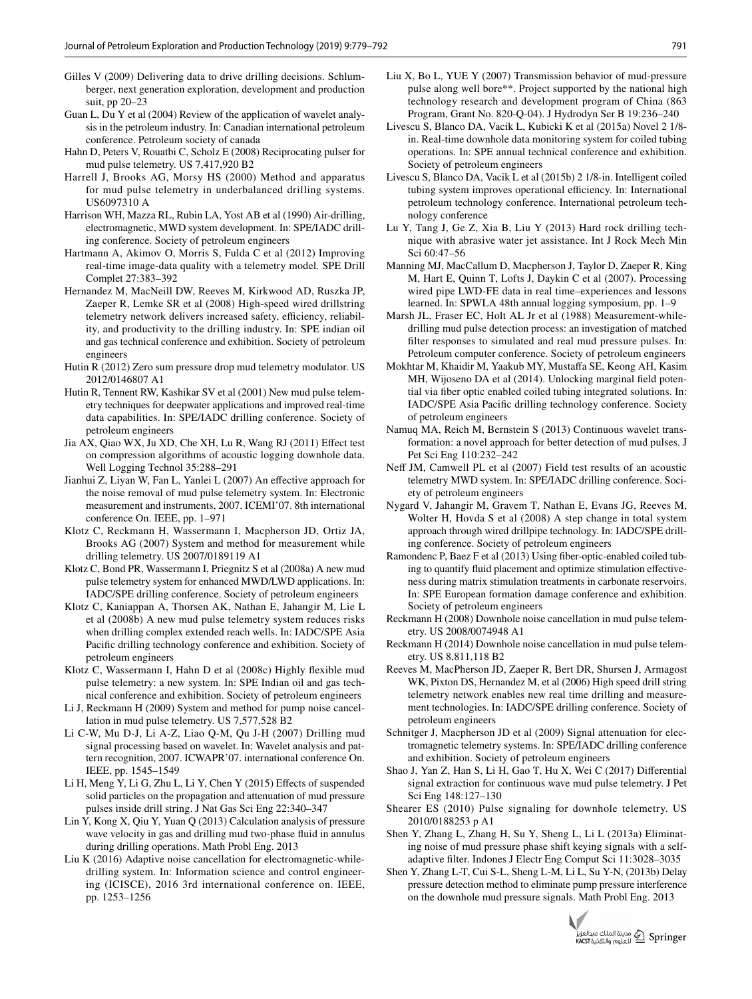- <span id="page-12-38"></span>Gilles V (2009) Delivering data to drive drilling decisions. Schlumberger, next generation exploration, development and production suit, pp 20–23
- <span id="page-12-32"></span>Guan L, Du Y et al (2004) Review of the application of wavelet analysis in the petroleum industry. In: Canadian international petroleum conference. Petroleum society of canada
- <span id="page-12-19"></span>Hahn D, Peters V, Rouatbi C, Scholz E (2008) Reciprocating pulser for mud pulse telemetry. US 7,417,920 B2
- <span id="page-12-27"></span>Harrell J, Brooks AG, Morsy HS (2000) Method and apparatus for mud pulse telemetry in underbalanced drilling systems. US6097310 A
- <span id="page-12-5"></span>Harrison WH, Mazza RL, Rubin LA, Yost AB et al (1990) Air-drilling, electromagnetic, MWD system development. In: SPE/IADC drilling conference. Society of petroleum engineers
- <span id="page-12-1"></span>Hartmann A, Akimov O, Morris S, Fulda C et al (2012) Improving real-time image-data quality with a telemetry model. SPE Drill Complet 27:383–392
- <span id="page-12-10"></span>Hernandez M, MacNeill DW, Reeves M, Kirkwood AD, Ruszka JP, Zaeper R, Lemke SR et al (2008) High-speed wired drillstring telemetry network delivers increased safety, efficiency, reliability, and productivity to the drilling industry. In: SPE indian oil and gas technical conference and exhibition. Society of petroleum engineers
- <span id="page-12-18"></span>Hutin R (2012) Zero sum pressure drop mud telemetry modulator. US 2012/0146807 A1
- <span id="page-12-3"></span>Hutin R, Tennent RW, Kashikar SV et al (2001) New mud pulse telemetry techniques for deepwater applications and improved real-time data capabilities. In: SPE/IADC drilling conference. Society of petroleum engineers
- <span id="page-12-37"></span>Jia AX, Qiao WX, Ju XD, Che XH, Lu R, Wang RJ (2011) Effect test on compression algorithms of acoustic logging downhole data. Well Logging Technol 35:288–291
- <span id="page-12-35"></span>Jianhui Z, Liyan W, Fan L, Yanlei L (2007) An effective approach for the noise removal of mud pulse telemetry system. In: Electronic measurement and instruments, 2007. ICEMI'07. 8th international conference On. IEEE, pp. 1–971
- <span id="page-12-16"></span>Klotz C, Reckmann H, Wassermann I, Macpherson JD, Ortiz JA, Brooks AG (2007) System and method for measurement while drilling telemetry. US 2007/0189119 A1
- <span id="page-12-17"></span>Klotz C, Bond PR, Wassermann I, Priegnitz S et al (2008a) A new mud pulse telemetry system for enhanced MWD/LWD applications. In: IADC/SPE drilling conference. Society of petroleum engineers
- <span id="page-12-23"></span>Klotz C, Kaniappan A, Thorsen AK, Nathan E, Jahangir M, Lie L et al (2008b) A new mud pulse telemetry system reduces risks when drilling complex extended reach wells. In: IADC/SPE Asia Pacific drilling technology conference and exhibition. Society of petroleum engineers
- <span id="page-12-22"></span>Klotz C, Wassermann I, Hahn D et al (2008c) Highly flexible mud pulse telemetry: a new system. In: SPE Indian oil and gas technical conference and exhibition. Society of petroleum engineers
- <span id="page-12-21"></span>Li J, Reckmann H (2009) System and method for pump noise cancellation in mud pulse telemetry. US 7,577,528 B2
- <span id="page-12-33"></span>Li C-W, Mu D-J, Li A-Z, Liao Q-M, Qu J-H (2007) Drilling mud signal processing based on wavelet. In: Wavelet analysis and pattern recognition, 2007. ICWAPR'07. international conference On. IEEE, pp. 1545–1549
- <span id="page-12-29"></span>Li H, Meng Y, Li G, Zhu L, Li Y, Chen Y (2015) Effects of suspended solid particles on the propagation and attenuation of mud pressure pulses inside drill string. J Nat Gas Sci Eng 22:340–347
- <span id="page-12-28"></span>Lin Y, Kong X, Qiu Y, Yuan Q (2013) Calculation analysis of pressure wave velocity in gas and drilling mud two-phase fluid in annulus during drilling operations. Math Probl Eng. 2013
- <span id="page-12-36"></span>Liu K (2016) Adaptive noise cancellation for electromagnetic-whiledrilling system. In: Information science and control engineering (ICISCE), 2016 3rd international conference on. IEEE, pp. 1253–1256
- <span id="page-12-0"></span>Liu X, Bo L, YUE Y (2007) Transmission behavior of mud-pressure pulse along well bore\*\*. Project supported by the national high technology research and development program of China (863 Program, Grant No. 820-Q-04). J Hydrodyn Ser B 19:236–240
- <span id="page-12-11"></span>Livescu S, Blanco DA, Vacik L, Kubicki K et al (2015a) Novel 2 1/8 in. Real-time downhole data monitoring system for coiled tubing operations. In: SPE annual technical conference and exhibition. Society of petroleum engineers
- <span id="page-12-12"></span>Livescu S, Blanco DA, Vacik L et al (2015b) 2 1/8-in. Intelligent coiled tubing system improves operational efficiency. In: International petroleum technology conference. International petroleum technology conference
- <span id="page-12-30"></span>Lu Y, Tang J, Ge Z, Xia B, Liu Y (2013) Hard rock drilling technique with abrasive water jet assistance. Int J Rock Mech Min Sci 60:47–56
- <span id="page-12-9"></span>Manning MJ, MacCallum D, Macpherson J, Taylor D, Zaeper R, King M, Hart E, Quinn T, Lofts J, Daykin C et al (2007). Processing wired pipe LWD-FE data in real time–experiences and lessons learned. In: SPWLA 48th annual logging symposium, pp. 1–9
- <span id="page-12-31"></span>Marsh JL, Fraser EC, Holt AL Jr et al (1988) Measurement-whiledrilling mud pulse detection process: an investigation of matched filter responses to simulated and real mud pressure pulses. In: Petroleum computer conference. Society of petroleum engineers
- <span id="page-12-13"></span>Mokhtar M, Khaidir M, Yaakub MY, Mustaffa SE, Keong AH, Kasim MH, Wijoseno DA et al (2014). Unlocking marginal field potential via fiber optic enabled coiled tubing integrated solutions. In: IADC/SPE Asia Pacific drilling technology conference. Society of petroleum engineers
- <span id="page-12-34"></span>Namuq MA, Reich M, Bernstein S (2013) Continuous wavelet transformation: a novel approach for better detection of mud pulses. J Pet Sci Eng 110:232–242
- <span id="page-12-6"></span>Neff JM, Camwell PL et al (2007) Field test results of an acoustic telemetry MWD system. In: SPE/IADC drilling conference. Society of petroleum engineers
- <span id="page-12-4"></span>Nygard V, Jahangir M, Gravem T, Nathan E, Evans JG, Reeves M, Wolter H, Hovda S et al (2008) A step change in total system approach through wired drillpipe technology. In: IADC/SPE drilling conference. Society of petroleum engineers
- <span id="page-12-14"></span>Ramondenc P, Baez F et al (2013) Using fiber-optic-enabled coiled tubing to quantify fluid placement and optimize stimulation effectiveness during matrix stimulation treatments in carbonate reservoirs. In: SPE European formation damage conference and exhibition. Society of petroleum engineers
- <span id="page-12-26"></span>Reckmann H (2008) Downhole noise cancellation in mud pulse telemetry. US 2008/0074948 A1
- <span id="page-12-20"></span>Reckmann H (2014) Downhole noise cancellation in mud pulse telemetry. US 8,811,118 B2
- <span id="page-12-8"></span>Reeves M, MacPherson JD, Zaeper R, Bert DR, Shursen J, Armagost WK, Pixton DS, Hernandez M, et al (2006) High speed drill string telemetry network enables new real time drilling and measurement technologies. In: IADC/SPE drilling conference. Society of petroleum engineers
- <span id="page-12-7"></span>Schnitger J, Macpherson JD et al (2009) Signal attenuation for electromagnetic telemetry systems. In: SPE/IADC drilling conference and exhibition. Society of petroleum engineers
- <span id="page-12-2"></span>Shao J, Yan Z, Han S, Li H, Gao T, Hu X, Wei C (2017) Differential signal extraction for continuous wave mud pulse telemetry. J Pet Sci Eng 148:127–130
- <span id="page-12-15"></span>Shearer ES (2010) Pulse signaling for downhole telemetry. US 2010/0188253 p A1
- <span id="page-12-24"></span>Shen Y, Zhang L, Zhang H, Su Y, Sheng L, Li L (2013a) Eliminating noise of mud pressure phase shift keying signals with a selfadaptive filter. Indones J Electr Eng Comput Sci 11:3028–3035
- <span id="page-12-25"></span>Shen Y, Zhang L-T, Cui S-L, Sheng L-M, Li L, Su Y-N, (2013b) Delay pressure detection method to eliminate pump pressure interference on the downhole mud pressure signals. Math Probl Eng. 2013